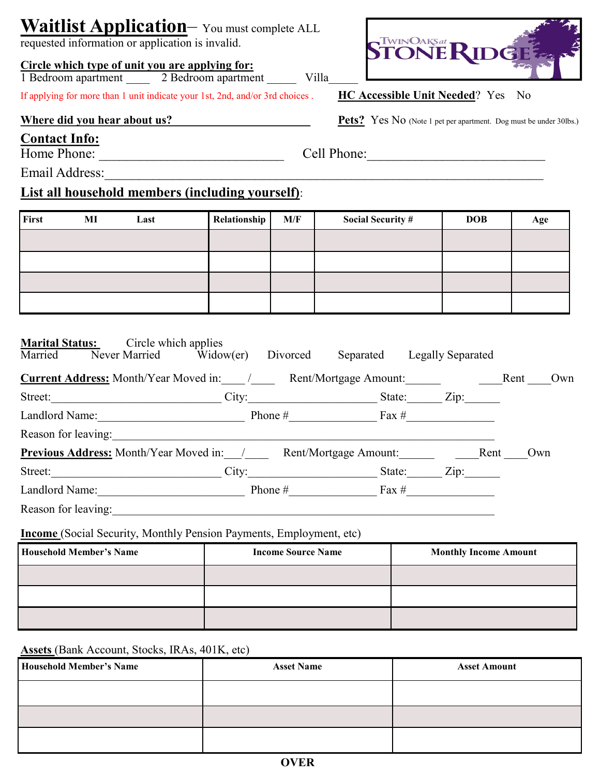## **Waitlist Application**– You must complete ALL

requested information or application is invalid.

#### **Circle which type of unit you are applying for:**  1 Bedroom apartment 2 Bedroom apartment Villa

If applying for more than 1 unit indicate your 1st, 2nd, and/or 3rd choices . **HC Accessible Unit Needed**? Yes No

### **Contact Info:**

Home Phone: \_\_\_\_\_\_\_\_\_\_\_\_\_\_\_\_\_\_\_\_\_\_\_\_\_\_\_ Cell Phone:\_\_\_\_\_\_\_\_\_\_\_\_\_\_\_\_\_\_\_\_\_\_\_\_\_\_

Email Address:

## **List all household members (including yourself)**:

**Marital Status:** Circle which applies

First MI Last **Relationship M/F** Social Security # DOB Age

| <u>iviai itai Dtatus.</u><br>Married | $\mathcal{L}_{\text{H}}$ on which applies<br>Never Married Widow(er) | Divorced                                                                   |           | Separated Legally Separated |      |     |
|--------------------------------------|----------------------------------------------------------------------|----------------------------------------------------------------------------|-----------|-----------------------------|------|-----|
|                                      |                                                                      | <b>Current Address:</b> Month/Year Moved in: / Rent/Mortgage Amount:       |           |                             | Rent | Own |
|                                      |                                                                      | Street: Zip: City: State: Zip:                                             |           |                             |      |     |
| Landlord Name: Phone $\#$ Fax $\#$   |                                                                      |                                                                            |           |                             |      |     |
|                                      | Reason for leaving:                                                  |                                                                            |           |                             |      |     |
|                                      |                                                                      | <b>Previous Address:</b> Month/Year Moved in: / Rent/Mortgage Amount: Rent |           |                             |      | Own |
|                                      |                                                                      | Street: City:                                                              |           | Zip:<br>State:              |      |     |
|                                      | Landlord Name:                                                       |                                                                            | Phone $#$ | Fax $\#$                    |      |     |
|                                      |                                                                      |                                                                            |           |                             |      |     |
| Reason for leaving:                  |                                                                      |                                                                            |           |                             |      |     |

**Income** (Social Security, Monthly Pension Payments, Employment, etc)

| <b>Household Member's Name</b> | <b>Income Source Name</b> | <b>Monthly Income Amount</b> |  |
|--------------------------------|---------------------------|------------------------------|--|
|                                |                           |                              |  |
|                                |                           |                              |  |
|                                |                           |                              |  |

### **Assets** (Bank Account, Stocks, IRAs, 401K, etc)

| <b>Household Member's Name</b> | <b>Asset Name</b> | <b>Asset Amount</b> |  |
|--------------------------------|-------------------|---------------------|--|
|                                |                   |                     |  |
|                                |                   |                     |  |
|                                |                   |                     |  |



Where did you hear about us?<br>**Pets?** Yes No (Note 1 pet per apartment. Dog must be under 30lbs.)